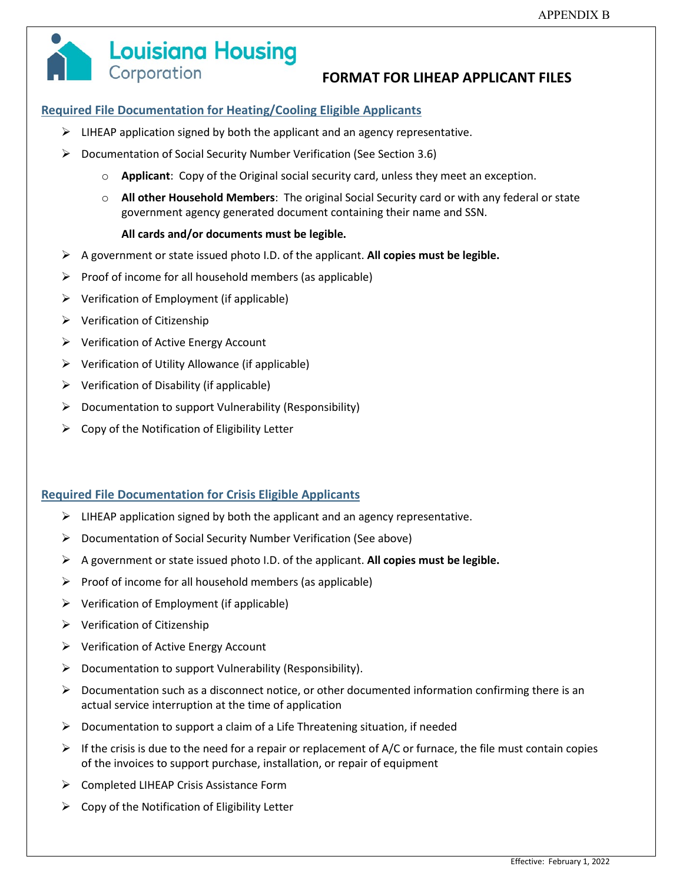

# **Louisiana Housing** Corporation

# **FORMAT FOR LIHEAP APPLICANT FILES**

### **Required File Documentation for Heating/Cooling Eligible Applicants**

- $\triangleright$  LIHEAP application signed by both the applicant and an agency representative.
- Documentation of Social Security Number Verification (See Section 3.6)
	- o **Applicant**: Copy of the Original social security card, unless they meet an exception.
	- o **All other Household Members**: The original Social Security card or with any federal or state government agency generated document containing their name and SSN.

#### **All cards and/or documents must be legible.**

- A government or state issued photo I.D. of the applicant. **All copies must be legible.**
- $\triangleright$  Proof of income for all household members (as applicable)
- $\triangleright$  Verification of Employment (if applicable)
- $\triangleright$  Verification of Citizenship
- $\triangleright$  Verification of Active Energy Account
- $\triangleright$  Verification of Utility Allowance (if applicable)
- $\triangleright$  Verification of Disability (if applicable)
- $\triangleright$  Documentation to support Vulnerability (Responsibility)
- $\triangleright$  Copy of the Notification of Eligibility Letter

#### **Required File Documentation for Crisis Eligible Applicants**

- $\triangleright$  LIHEAP application signed by both the applicant and an agency representative.
- $\triangleright$  Documentation of Social Security Number Verification (See above)
- A government or state issued photo I.D. of the applicant. **All copies must be legible.**
- $\triangleright$  Proof of income for all household members (as applicable)
- $\triangleright$  Verification of Employment (if applicable)
- $\triangleright$  Verification of Citizenship
- $\triangleright$  Verification of Active Energy Account
- $\triangleright$  Documentation to support Vulnerability (Responsibility).
- $\triangleright$  Documentation such as a disconnect notice, or other documented information confirming there is an actual service interruption at the time of application
- $\triangleright$  Documentation to support a claim of a Life Threatening situation, if needed
- $\triangleright$  If the crisis is due to the need for a repair or replacement of A/C or furnace, the file must contain copies of the invoices to support purchase, installation, or repair of equipment
- ▶ Completed LIHEAP Crisis Assistance Form
- $\triangleright$  Copy of the Notification of Eligibility Letter